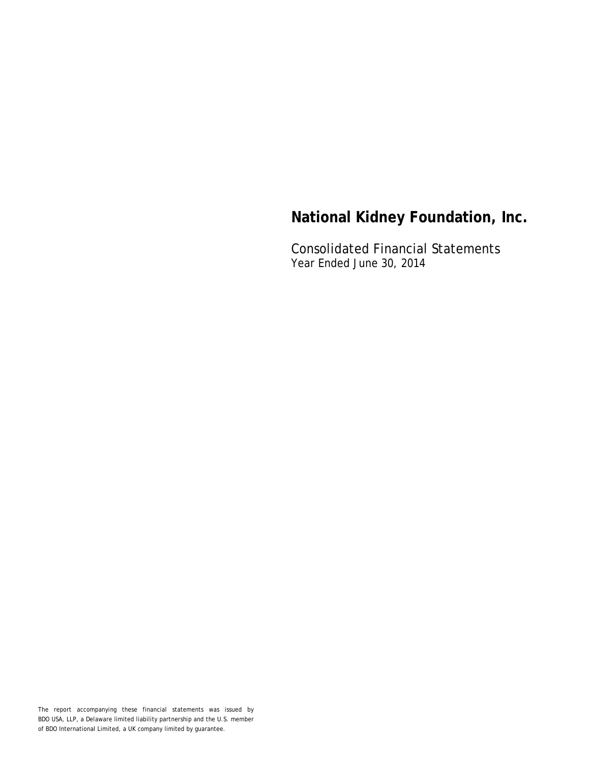Consolidated Financial Statements Year Ended June 30, 2014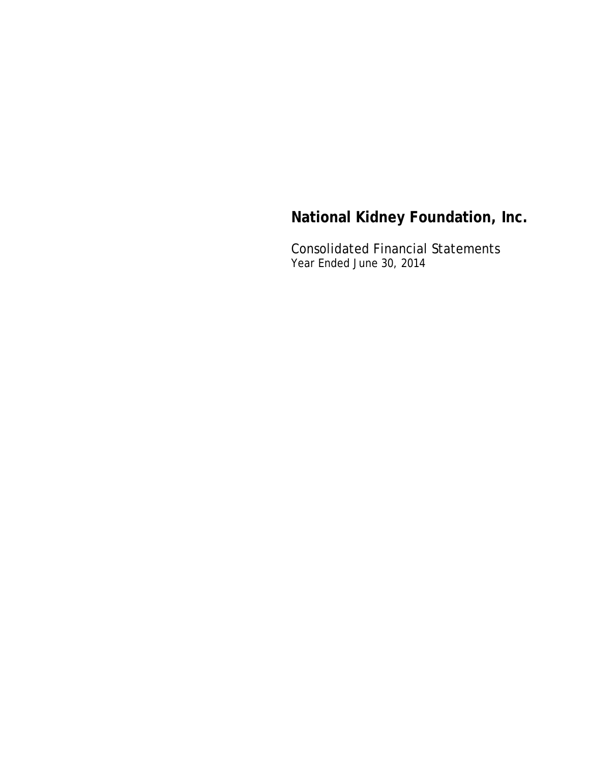Consolidated Financial Statements Year Ended June 30, 2014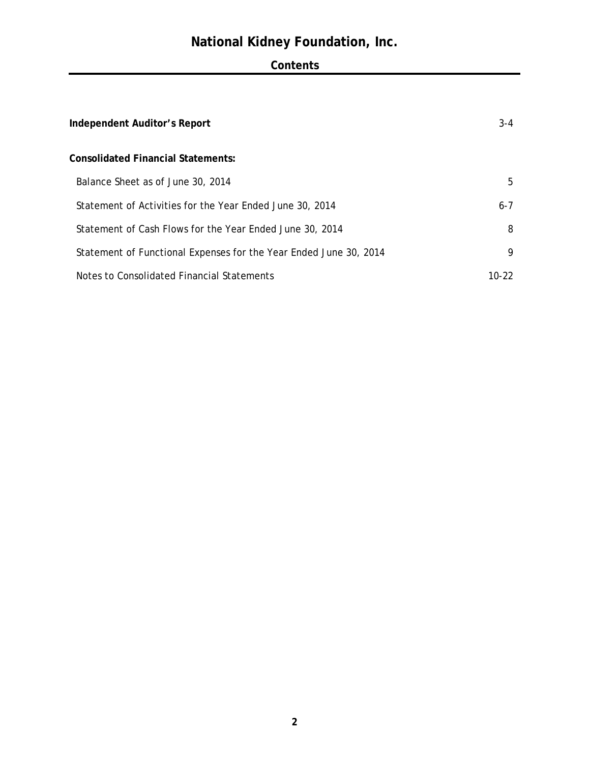# **Contents**

| Independent Auditor's Report                                      | $3 - 4$ |
|-------------------------------------------------------------------|---------|
| <b>Consolidated Financial Statements:</b>                         |         |
| Balance Sheet as of June 30, 2014                                 | 5       |
| Statement of Activities for the Year Ended June 30, 2014          | $6 - 7$ |
| Statement of Cash Flows for the Year Ended June 30, 2014          | 8       |
| Statement of Functional Expenses for the Year Ended June 30, 2014 | 9       |
| Notes to Consolidated Financial Statements                        | 10-22.  |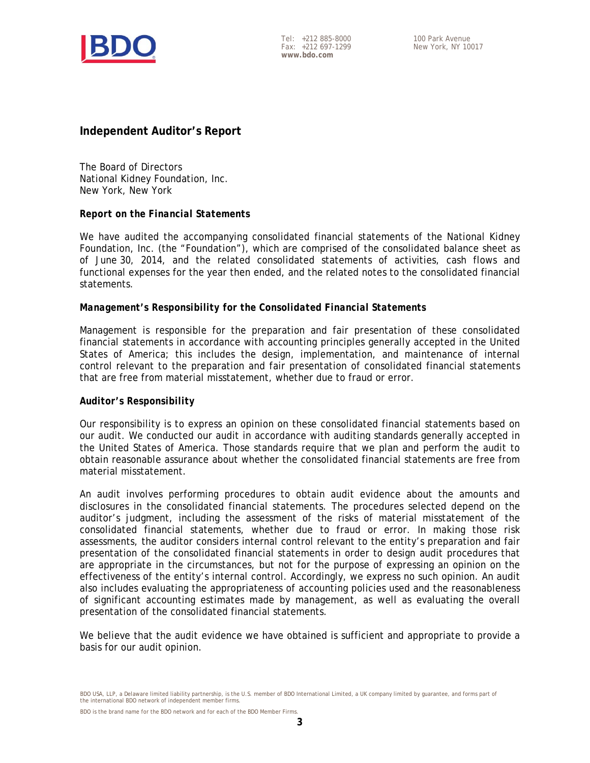

Tel: +212 885-8000 Fax: +212 697-1299 **www.bdo.com** 

# **Independent Auditor's Report**

The Board of Directors National Kidney Foundation, Inc. New York, New York

#### *Report on the Financial Statements*

We have audited the accompanying consolidated financial statements of the National Kidney Foundation, Inc. (the "Foundation"), which are comprised of the consolidated balance sheet as of June 30, 2014, and the related consolidated statements of activities, cash flows and functional expenses for the year then ended, and the related notes to the consolidated financial statements.

#### *Management's Responsibility for the Consolidated Financial Statements*

Management is responsible for the preparation and fair presentation of these consolidated financial statements in accordance with accounting principles generally accepted in the United States of America; this includes the design, implementation, and maintenance of internal control relevant to the preparation and fair presentation of consolidated financial statements that are free from material misstatement, whether due to fraud or error.

#### *Auditor's Responsibility*

Our responsibility is to express an opinion on these consolidated financial statements based on our audit. We conducted our audit in accordance with auditing standards generally accepted in the United States of America. Those standards require that we plan and perform the audit to obtain reasonable assurance about whether the consolidated financial statements are free from material misstatement.

An audit involves performing procedures to obtain audit evidence about the amounts and disclosures in the consolidated financial statements. The procedures selected depend on the auditor's judgment, including the assessment of the risks of material misstatement of the consolidated financial statements, whether due to fraud or error. In making those risk assessments, the auditor considers internal control relevant to the entity's preparation and fair presentation of the consolidated financial statements in order to design audit procedures that are appropriate in the circumstances, but not for the purpose of expressing an opinion on the effectiveness of the entity's internal control. Accordingly, we express no such opinion. An audit also includes evaluating the appropriateness of accounting policies used and the reasonableness of significant accounting estimates made by management, as well as evaluating the overall presentation of the consolidated financial statements.

We believe that the audit evidence we have obtained is sufficient and appropriate to provide a basis for our audit opinion.

BDO USA, LLP, a Delaware limited liability partnership, is the U.S. member of BDO International Limited, a UK company limited by guarantee, and forms part of the international BDO network of independent member firms.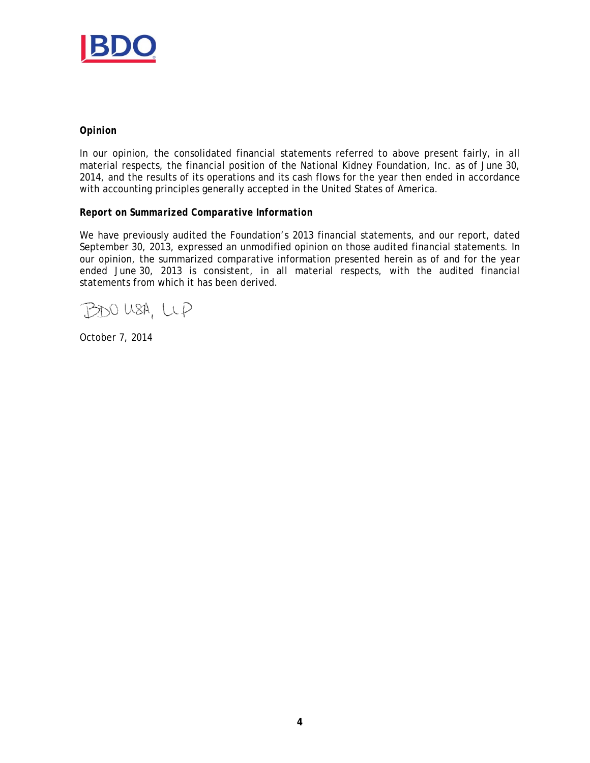

#### *Opinion*

In our opinion, the consolidated financial statements referred to above present fairly, in all material respects, the financial position of the National Kidney Foundation, Inc. as of June 30, 2014, and the results of its operations and its cash flows for the year then ended in accordance with accounting principles generally accepted in the United States of America.

#### *Report on Summarized Comparative Information*

We have previously audited the Foundation's 2013 financial statements, and our report, dated September 30, 2013, expressed an unmodified opinion on those audited financial statements. In our opinion, the summarized comparative information presented herein as of and for the year ended June 30, 2013 is consistent, in all material respects, with the audited financial statements from which it has been derived.

BDO USA, LLP

October 7, 2014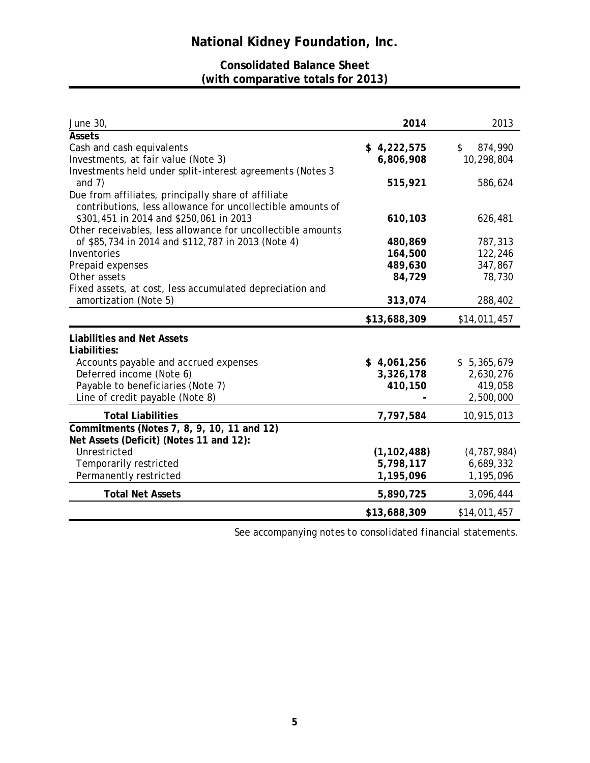# **Consolidated Balance Sheet (with comparative totals for 2013)**

| June 30,                                                                                                          | 2014          | 2013                     |
|-------------------------------------------------------------------------------------------------------------------|---------------|--------------------------|
| <b>Assets</b>                                                                                                     |               |                          |
| Cash and cash equivalents                                                                                         | \$4,222,575   | $\frac{1}{2}$<br>874,990 |
| Investments, at fair value (Note 3)                                                                               | 6,806,908     | 10,298,804               |
| Investments held under split-interest agreements (Notes 3                                                         |               |                          |
| and $7)$                                                                                                          | 515,921       | 586,624                  |
| Due from affiliates, principally share of affiliate<br>contributions, less allowance for uncollectible amounts of |               |                          |
| \$301,451 in 2014 and \$250,061 in 2013<br>Other receivables, less allowance for uncollectible amounts            | 610,103       | 626,481                  |
| of \$85,734 in 2014 and \$112,787 in 2013 (Note 4)                                                                | 480,869       | 787,313                  |
| Inventories                                                                                                       | 164,500       | 122,246                  |
| Prepaid expenses                                                                                                  | 489,630       | 347,867                  |
| Other assets                                                                                                      | 84,729        | 78,730                   |
| Fixed assets, at cost, less accumulated depreciation and                                                          |               |                          |
| amortization (Note 5)                                                                                             | 313,074       | 288,402                  |
|                                                                                                                   | \$13,688,309  | \$14,011,457             |
| <b>Liabilities and Net Assets</b>                                                                                 |               |                          |
| Liabilities:                                                                                                      |               |                          |
| Accounts payable and accrued expenses                                                                             | \$4,061,256   | \$5,365,679              |
| Deferred income (Note 6)                                                                                          | 3,326,178     | 2,630,276                |
| Payable to beneficiaries (Note 7)                                                                                 | 410,150       | 419,058                  |
| Line of credit payable (Note 8)                                                                                   |               | 2,500,000                |
| <b>Total Liabilities</b>                                                                                          | 7,797,584     | 10,915,013               |
| Commitments (Notes 7, 8, 9, 10, 11 and 12)                                                                        |               |                          |
| Net Assets (Deficit) (Notes 11 and 12):                                                                           |               |                          |
| Unrestricted                                                                                                      | (1, 102, 488) | (4, 787, 984)            |
| Temporarily restricted                                                                                            | 5,798,117     | 6,689,332                |
| Permanently restricted                                                                                            | 1,195,096     | 1,195,096                |
| <b>Total Net Assets</b>                                                                                           | 5,890,725     | 3,096,444                |
|                                                                                                                   | \$13,688,309  | \$14,011,457             |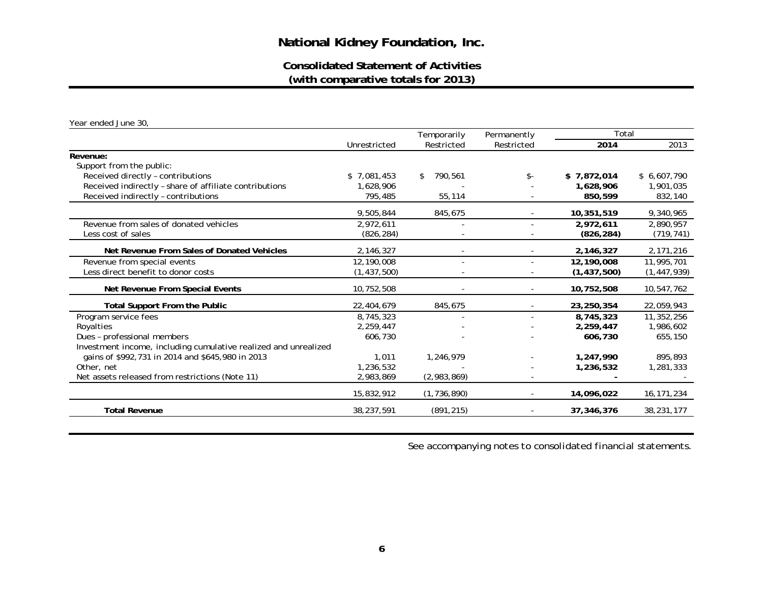**Consolidated Statement of Activities(with comparative totals for 2013)**

*Year ended June 30,* 

|                                                                 | Temporarily   |                          | Permanently    | Total         |               |
|-----------------------------------------------------------------|---------------|--------------------------|----------------|---------------|---------------|
|                                                                 | Unrestricted  | Restricted               | Restricted     | 2014          | 2013          |
| Revenue:                                                        |               |                          |                |               |               |
| Support from the public:                                        |               |                          |                |               |               |
| Received directly - contributions                               | \$7,081,453   | 790,561                  | $\mathsf{s}$ - | \$7,872,014   | \$6,607,790   |
| Received indirectly - share of affiliate contributions          | 1,628,906     |                          |                | 1,628,906     | 1,901,035     |
| Received indirectly - contributions                             | 795,485       | 55,114                   |                | 850,599       | 832,140       |
|                                                                 | 9,505,844     | 845,675                  |                | 10,351,519    | 9,340,965     |
| Revenue from sales of donated vehicles                          | 2,972,611     |                          |                | 2,972,611     | 2,890,957     |
| Less cost of sales                                              | (826, 284)    |                          |                | (826, 284)    | (719, 741)    |
| Net Revenue From Sales of Donated Vehicles                      | 2,146,327     |                          |                | 2,146,327     | 2,171,216     |
| Revenue from special events                                     | 12,190,008    | $\overline{\phantom{a}}$ |                | 12,190,008    | 11,995,701    |
| Less direct benefit to donor costs                              | (1, 437, 500) |                          |                | (1, 437, 500) | (1, 447, 939) |
| Net Revenue From Special Events                                 | 10,752,508    |                          |                | 10,752,508    | 10,547,762    |
| <b>Total Support From the Public</b>                            | 22,404,679    | 845,675                  |                | 23,250,354    | 22,059,943    |
| Program service fees                                            | 8,745,323     | $\overline{\phantom{a}}$ |                | 8,745,323     | 11,352,256    |
| Royalties                                                       | 2,259,447     |                          |                | 2,259,447     | 1,986,602     |
| Dues - professional members                                     | 606,730       |                          |                | 606,730       | 655,150       |
| Investment income, including cumulative realized and unrealized |               |                          |                |               |               |
| gains of \$992,731 in 2014 and \$645,980 in 2013                | 1,011         | 1,246,979                |                | 1,247,990     | 895,893       |
| Other, net                                                      | 1,236,532     |                          |                | 1,236,532     | 1,281,333     |
| Net assets released from restrictions (Note 11)                 | 2,983,869     | (2,983,869)              |                |               |               |
|                                                                 | 15,832,912    | (1, 736, 890)            |                | 14,096,022    | 16, 171, 234  |
| <b>Total Revenue</b>                                            | 38,237,591    | (891, 215)               |                | 37,346,376    | 38,231,177    |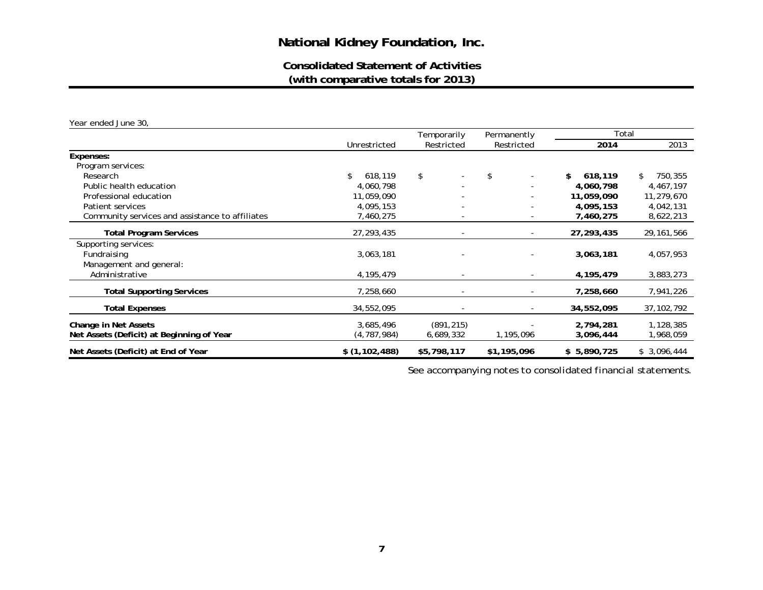# **Consolidated Statement of Activities(with comparative totals for 2013)**

*Year ended June 30,* 

|                                                 |               | Temporarily | Permanently              | Total         |               |
|-------------------------------------------------|---------------|-------------|--------------------------|---------------|---------------|
|                                                 | Unrestricted  | Restricted  | Restricted               | 2014          | 2013          |
| Expenses:                                       |               |             |                          |               |               |
| Program services:                               |               |             |                          |               |               |
| Research                                        | \$<br>618,119 | \$          | \$                       | \$<br>618,119 | 750,355<br>\$ |
| Public health education                         | 4,060,798     | ٠           |                          | 4,060,798     | 4,467,197     |
| Professional education                          | 11,059,090    |             |                          | 11,059,090    | 11,279,670    |
| Patient services                                | 4,095,153     |             |                          | 4,095,153     | 4,042,131     |
| Community services and assistance to affiliates | 7,460,275     |             |                          | 7,460,275     | 8,622,213     |
| <b>Total Program Services</b>                   | 27, 293, 435  |             |                          | 27,293,435    | 29, 161, 566  |
| Supporting services:                            |               |             |                          |               |               |
| Fundraising                                     | 3,063,181     |             |                          | 3,063,181     | 4,057,953     |
| Management and general:                         |               |             |                          |               |               |
| Administrative                                  | 4, 195, 479   |             |                          | 4,195,479     | 3,883,273     |
| <b>Total Supporting Services</b>                | 7,258,660     |             | $\overline{\phantom{a}}$ | 7,258,660     | 7,941,226     |
| <b>Total Expenses</b>                           | 34,552,095    |             |                          | 34,552,095    | 37, 102, 792  |
| Change in Net Assets                            | 3,685,496     | (891, 215)  |                          | 2,794,281     | 1,128,385     |
| Net Assets (Deficit) at Beginning of Year       | (4, 787, 984) | 6,689,332   | 1,195,096                | 3,096,444     | 1,968,059     |
| Net Assets (Deficit) at End of Year             | \$(1,102,488) | \$5,798,117 | \$1,195,096              | \$5,890,725   | \$3,096,444   |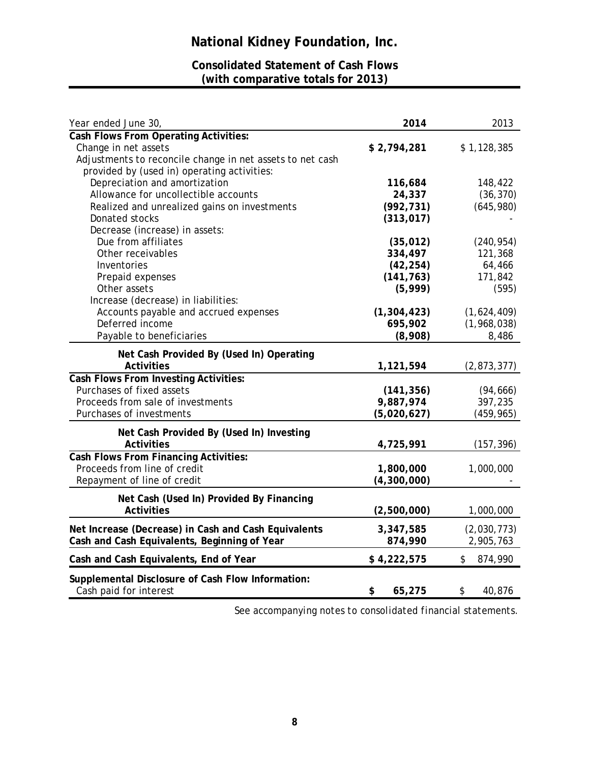# **Consolidated Statement of Cash Flows (with comparative totals for 2013)**

| Year ended June 30,                                       | 2014                    | 2013           |
|-----------------------------------------------------------|-------------------------|----------------|
| <b>Cash Flows From Operating Activities:</b>              |                         |                |
| Change in net assets                                      | \$2,794,281             | \$1,128,385    |
| Adjustments to reconcile change in net assets to net cash |                         |                |
| provided by (used in) operating activities:               |                         |                |
| Depreciation and amortization                             | 116,684                 | 148,422        |
| Allowance for uncollectible accounts                      | 24,337                  | (36, 370)      |
| Realized and unrealized gains on investments              | (992, 731)              | (645,980)      |
| Donated stocks                                            | (313, 017)              |                |
| Decrease (increase) in assets:                            |                         |                |
| Due from affiliates                                       | (35, 012)               | (240, 954)     |
| Other receivables                                         | 334,497                 | 121,368        |
| Inventories                                               | (42, 254)               | 64,466         |
| Prepaid expenses                                          | (141, 763)              | 171,842        |
| Other assets                                              | (5,999)                 | (595)          |
| Increase (decrease) in liabilities:                       |                         |                |
| Accounts payable and accrued expenses                     | (1, 304, 423)           | (1,624,409)    |
| Deferred income                                           | 695,902                 | (1,968,038)    |
| Payable to beneficiaries                                  | (8,908)                 | 8,486          |
| Net Cash Provided By (Used In) Operating                  |                         |                |
| <b>Activities</b>                                         |                         |                |
| <b>Cash Flows From Investing Activities:</b>              | 1,121,594               | (2,873,377)    |
| Purchases of fixed assets                                 |                         |                |
| Proceeds from sale of investments                         | (141, 356)<br>9,887,974 | (94, 666)      |
|                                                           |                         | 397,235        |
| Purchases of investments                                  | (5,020,627)             | (459, 965)     |
| Net Cash Provided By (Used In) Investing                  |                         |                |
| <b>Activities</b>                                         | 4,725,991               | (157, 396)     |
| Cash Flows From Financing Activities:                     |                         |                |
| Proceeds from line of credit                              | 1,800,000               | 1,000,000      |
| Repayment of line of credit                               | (4,300,000)             |                |
|                                                           |                         |                |
| Net Cash (Used In) Provided By Financing                  |                         |                |
| <b>Activities</b>                                         | (2,500,000)             | 1,000,000      |
| Net Increase (Decrease) in Cash and Cash Equivalents      | 3,347,585               | (2,030,773)    |
| Cash and Cash Equivalents, Beginning of Year              | 874,990                 | 2,905,763      |
| Cash and Cash Equivalents, End of Year                    | \$4,222,575             | \$.<br>874,990 |
|                                                           |                         |                |
| Supplemental Disclosure of Cash Flow Information:         |                         |                |
| Cash paid for interest                                    | \$<br>65,275            | 40,876<br>\$   |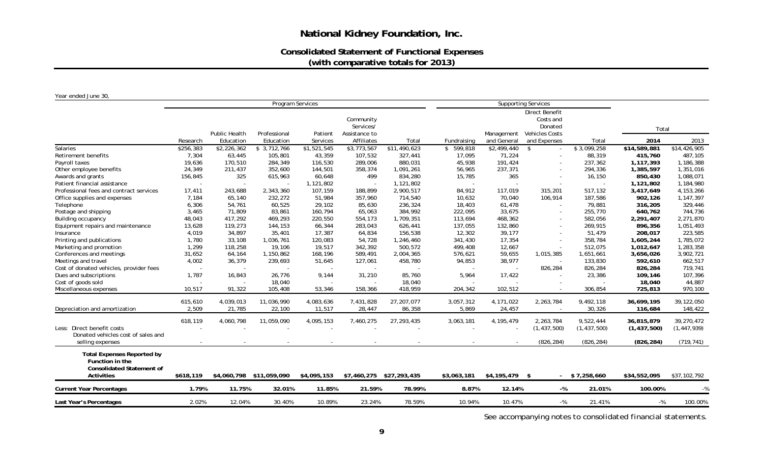# **Consolidated Statement of Functional Expenses (with comparative totals for 2013)**

*Year ended June 30,* 

|                                                                                          |           |               | Program Services         |             |                                         |                          |             |                 | <b>Supporting Services</b>                                      |                 |               |               |
|------------------------------------------------------------------------------------------|-----------|---------------|--------------------------|-------------|-----------------------------------------|--------------------------|-------------|-----------------|-----------------------------------------------------------------|-----------------|---------------|---------------|
|                                                                                          |           | Public Health | Professional             | Patient     | Community<br>Services/<br>Assistance to |                          |             | Management      | Direct Benefit<br>Costs and<br>Donated<br><b>Vehicles Costs</b> |                 | Total         |               |
|                                                                                          | Research  | Education     | Education                | Services    | <b>Affiliates</b>                       | Total                    | Fundraising | and General     | and Expenses                                                    | Total           | 2014          | 2013          |
| <b>Salaries</b>                                                                          | \$256,383 | \$2,226,362   | \$3,712,766              | \$1,521,545 | \$3,773,567                             | \$11,490,623             | \$599,818   | \$2,499,440     | \$                                                              | \$3,099,258     | \$14,589,881  | \$14,426,905  |
| Retirement benefits                                                                      | 7,304     | 63,445        | 105,801                  | 43,359      | 107,532                                 | 327,441                  | 17,095      | 71,224          |                                                                 | 88,319          | 415,760       | 487,105       |
| Payroll taxes                                                                            | 19,636    | 170,510       | 284,349                  | 116,530     | 289,006                                 | 880,031                  | 45,938      | 191,424         |                                                                 | 237,362         | 1,117,393     | 1,186,388     |
| Other employee benefits                                                                  | 24,349    | 211,437       | 352,600                  | 144,501     | 358,374                                 | 1,091,261                | 56,965      | 237,371         |                                                                 | 294,336         | 1,385,597     | 1,351,016     |
| Awards and grants                                                                        | 156,845   | 325           | 615,963                  | 60,648      | 499                                     | 834,280                  | 15,785      | 365             |                                                                 | 16,150          | 850,430       | 1,088,071     |
| Patient financial assistance                                                             |           |               |                          | 1,121,802   |                                         | 1,121,802                | $\sim$      |                 |                                                                 |                 | 1,121,802     | 1,184,980     |
| Professional fees and contract services                                                  | 17,411    | 243,688       | 2,343,360                | 107.159     | 188,899                                 | 2,900,517                | 84,912      | 117,019         | 315,201                                                         | 517,132         | 3,417,649     | 4, 153, 266   |
| Office supplies and expenses                                                             | 7,184     | 65,140        | 232,272                  | 51,984      | 357,960                                 | 714,540                  | 10,632      | 70,040          | 106,914                                                         | 187,586         | 902,126       | 1,147,397     |
| Telephone                                                                                | 6,306     | 54,761        | 60,525                   | 29,102      | 85,630                                  | 236,324                  | 18,403      | 61,478          |                                                                 | 79,881          | 316,205       | 329,446       |
| Postage and shipping                                                                     | 3,465     | 71,809        | 83,861                   | 160,794     | 65,063                                  | 384,992                  | 222,095     | 33,675          |                                                                 | 255,770         | 640,762       | 744,736       |
| Building occupancy                                                                       | 48,043    | 417,292       | 469,293                  | 220,550     | 554,173                                 | 1,709,351                | 113,694     | 468,362         |                                                                 | 582,056         | 2,291,407     | 2,271,870     |
| Equipment repairs and maintenance                                                        | 13,628    | 119,273       | 144,153                  | 66,344      | 283,043                                 | 626,441                  | 137,055     | 132,860         |                                                                 | 269,915         | 896,356       | 1,051,493     |
| Insurance                                                                                | 4,019     | 34,897        | 35,401                   | 17,387      | 64,834                                  | 156,538                  | 12,302      | 39,177          |                                                                 | 51,479          | 208,017       | 223,585       |
| Printing and publications                                                                | 1,780     | 33,108        | 1,036,761                | 120,083     | 54,728                                  | 1,246,460                | 341,430     | 17,354          |                                                                 | 358,784         | 1,605,244     | 1,785,072     |
| Marketing and promotion                                                                  | 1,299     | 118,258       | 19,106                   | 19,517      | 342,392                                 | 500,572                  | 499,408     | 12,667          |                                                                 | 512,075         | 1,012,647     | 1,283,358     |
| Conferences and meetings                                                                 | 31,652    | 64,164        | 1,150,862                | 168,196     | 589,491                                 | 2,004,365                | 576,621     | 59,655          | 1,015,385                                                       | 1,651,661       | 3,656,026     | 3,902,721     |
| Meetings and travel                                                                      | 4,002     | 36,379        | 239,693                  | 51,645      | 127,061                                 | 458,780                  | 94,853      | 38,977          |                                                                 | 133,830         | 592,610       | 662,517       |
| Cost of donated vehicles, provider fees                                                  |           |               |                          |             |                                         |                          |             |                 | 826,284                                                         | 826,284         | 826,284       | 719,741       |
| Dues and subscriptions                                                                   | 1,787     | 16,843        | 26,776                   | 9.144       | 31,210                                  | 85,760                   | 5,964       | 17,422          |                                                                 | 23,386          | 109,146       | 107,396       |
| Cost of goods sold                                                                       |           |               | 18,040                   |             |                                         | 18,040                   |             |                 |                                                                 |                 | 18,040        | 44,887        |
| Miscellaneous expenses                                                                   | 10,517    | 91,322        | 105,408                  | 53,346      | 158,366                                 | 418,959                  | 204,342     | 102,512         |                                                                 | 306,854         | 725,813       | 970,100       |
|                                                                                          |           |               |                          |             |                                         |                          |             |                 |                                                                 |                 |               |               |
|                                                                                          | 615,610   | 4,039,013     | 11,036,990               | 4,083,636   | 7,431,828                               | 27,207,077               | 3,057,312   | 4,171,022       | 2,263,784                                                       | 9,492,118       | 36,699,195    | 39,122,050    |
| Depreciation and amortization                                                            | 2,509     | 21,785        | 22,100                   | 11,517      | 28,447                                  | 86,358                   | 5,869       | 24,457          |                                                                 | 30,326          | 116,684       | 148,422       |
|                                                                                          | 618,119   | 4,060,798     | 11,059,090               | 4,095,153   | 7,460,275                               | 27, 293, 435             | 3,063,181   | 4,195,479       | 2,263,784                                                       | 9,522,444       | 36,815,879    | 39,270,472    |
| Less: Direct benefit costs                                                               |           |               |                          |             |                                         |                          |             |                 | (1, 437, 500)                                                   | (1, 437, 500)   | (1, 437, 500) | (1, 447, 939) |
| Donated vehicles cost of sales and                                                       |           |               |                          |             |                                         |                          |             |                 |                                                                 |                 |               |               |
| selling expenses                                                                         |           |               |                          |             |                                         |                          |             |                 | (826, 284)                                                      | (826, 284)      | (826, 284)    | (719, 741)    |
| <b>Total Expenses Reported by</b><br>Function in the<br><b>Consolidated Statement of</b> |           |               |                          |             |                                         |                          |             |                 |                                                                 |                 |               |               |
| <b>Activities</b>                                                                        | \$618,119 |               | \$4,060,798 \$11,059,090 | \$4,095,153 |                                         | \$7,460,275 \$27,293,435 | \$3,063,181 | $$4,195,479$ \$ |                                                                 | $-$ \$7,258,660 | \$34,552,095  | \$37,102,792  |
| <b>Current Year Percentages</b>                                                          | 1.79%     | 11.75%        | 32.01%                   | 11.85%      | 21.59%                                  | 78.99%                   | 8.87%       | 12.14%          | $-$ %                                                           | 21.01%          | 100.00%       | $-$ %         |
| Last Year's Percentages                                                                  | 2.02%     | 12.04%        | 30.40%                   | 10.89%      | 23.24%                                  | 78.59%                   | 10.94%      | 10.47%          | $-$ %                                                           | 21.41%          | $-$ %         | 100.00%       |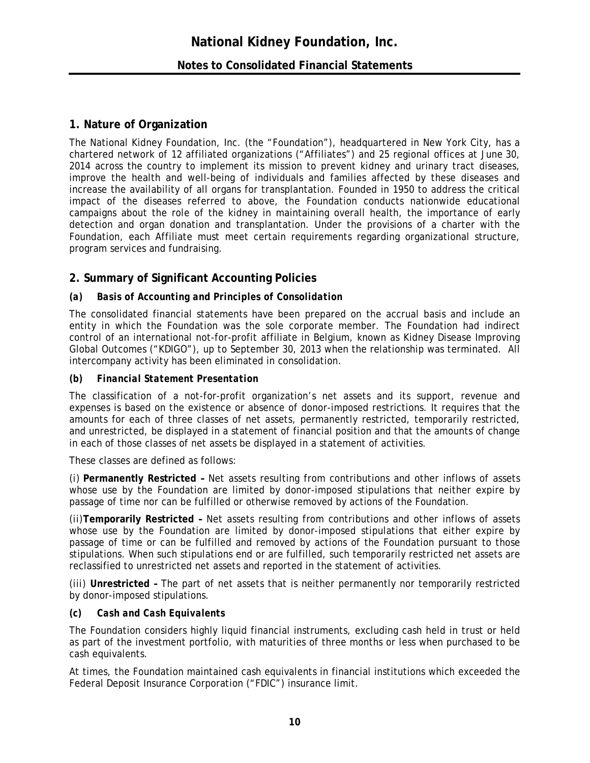# **Notes to Consolidated Financial Statements**

### **1. Nature of Organization**

The National Kidney Foundation, Inc. (the "Foundation"), headquartered in New York City, has a chartered network of 12 affiliated organizations ("Affiliates") and 25 regional offices at June 30, 2014 across the country to implement its mission to prevent kidney and urinary tract diseases, improve the health and well-being of individuals and families affected by these diseases and increase the availability of all organs for transplantation. Founded in 1950 to address the critical impact of the diseases referred to above, the Foundation conducts nationwide educational campaigns about the role of the kidney in maintaining overall health, the importance of early detection and organ donation and transplantation. Under the provisions of a charter with the Foundation, each Affiliate must meet certain requirements regarding organizational structure, program services and fundraising.

# **2. Summary of Significant Accounting Policies**

#### *(a) Basis of Accounting and Principles of Consolidation*

The consolidated financial statements have been prepared on the accrual basis and include an entity in which the Foundation was the sole corporate member. The Foundation had indirect control of an international not-for-profit affiliate in Belgium, known as Kidney Disease Improving Global Outcomes ("KDIGO"), up to September 30, 2013 when the relationship was terminated. All intercompany activity has been eliminated in consolidation.

#### *(b) Financial Statement Presentation*

The classification of a not-for-profit organization's net assets and its support, revenue and expenses is based on the existence or absence of donor-imposed restrictions. It requires that the amounts for each of three classes of net assets, permanently restricted, temporarily restricted, and unrestricted, be displayed in a statement of financial position and that the amounts of change in each of those classes of net assets be displayed in a statement of activities.

These classes are defined as follows:

*(i)* **Permanently Restricted –** Net assets resulting from contributions and other inflows of assets whose use by the Foundation are limited by donor-imposed stipulations that neither expire by passage of time nor can be fulfilled or otherwise removed by actions of the Foundation.

*(ii)***Temporarily Restricted –** Net assets resulting from contributions and other inflows of assets whose use by the Foundation are limited by donor-imposed stipulations that either expire by passage of time or can be fulfilled and removed by actions of the Foundation pursuant to those stipulations. When such stipulations end or are fulfilled, such temporarily restricted net assets are reclassified to unrestricted net assets and reported in the statement of activities.

*(iii)* **Unrestricted –** The part of net assets that is neither permanently nor temporarily restricted by donor-imposed stipulations.

#### *(c) Cash and Cash Equivalents*

The Foundation considers highly liquid financial instruments, excluding cash held in trust or held as part of the investment portfolio, with maturities of three months or less when purchased to be cash equivalents.

At times, the Foundation maintained cash equivalents in financial institutions which exceeded the Federal Deposit Insurance Corporation ("FDIC") insurance limit.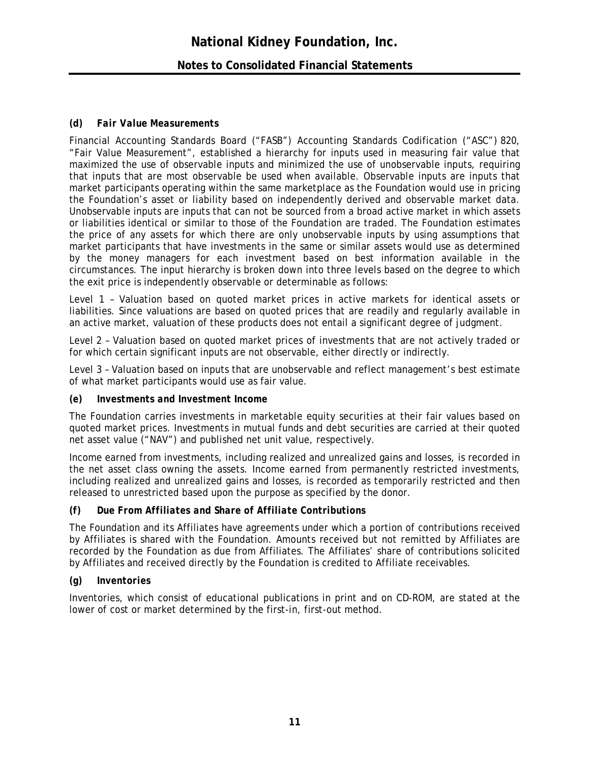# **National Kidney Foundation, Inc. Notes to Consolidated Financial Statements**

#### *(d) Fair Value Measurements*

Financial Accounting Standards Board ("FASB") Accounting Standards Codification ("ASC") 820, "Fair Value Measurement", established a hierarchy for inputs used in measuring fair value that maximized the use of observable inputs and minimized the use of unobservable inputs, requiring that inputs that are most observable be used when available. Observable inputs are inputs that market participants operating within the same marketplace as the Foundation would use in pricing the Foundation's asset or liability based on independently derived and observable market data. Unobservable inputs are inputs that can not be sourced from a broad active market in which assets or liabilities identical or similar to those of the Foundation are traded. The Foundation estimates the price of any assets for which there are only unobservable inputs by using assumptions that market participants that have investments in the same or similar assets would use as determined by the money managers for each investment based on best information available in the circumstances. The input hierarchy is broken down into three levels based on the degree to which the exit price is independently observable or determinable as follows:

Level 1 – Valuation based on quoted market prices in active markets for identical assets or liabilities. Since valuations are based on quoted prices that are readily and regularly available in an active market, valuation of these products does not entail a significant degree of judgment.

Level 2 – Valuation based on quoted market prices of investments that are not actively traded or for which certain significant inputs are not observable, either directly or indirectly.

Level 3 – Valuation based on inputs that are unobservable and reflect management's best estimate of what market participants would use as fair value.

#### *(e) Investments and Investment Income*

The Foundation carries investments in marketable equity securities at their fair values based on quoted market prices. Investments in mutual funds and debt securities are carried at their quoted net asset value ("NAV") and published net unit value, respectively.

Income earned from investments, including realized and unrealized gains and losses, is recorded in the net asset class owning the assets. Income earned from permanently restricted investments, including realized and unrealized gains and losses, is recorded as temporarily restricted and then released to unrestricted based upon the purpose as specified by the donor.

#### *(f) Due From Affiliates and Share of Affiliate Contributions*

The Foundation and its Affiliates have agreements under which a portion of contributions received by Affiliates is shared with the Foundation. Amounts received but not remitted by Affiliates are recorded by the Foundation as due from Affiliates. The Affiliates' share of contributions solicited by Affiliates and received directly by the Foundation is credited to Affiliate receivables.

#### *(g) Inventories*

Inventories, which consist of educational publications in print and on CD-ROM, are stated at the lower of cost or market determined by the first-in, first-out method.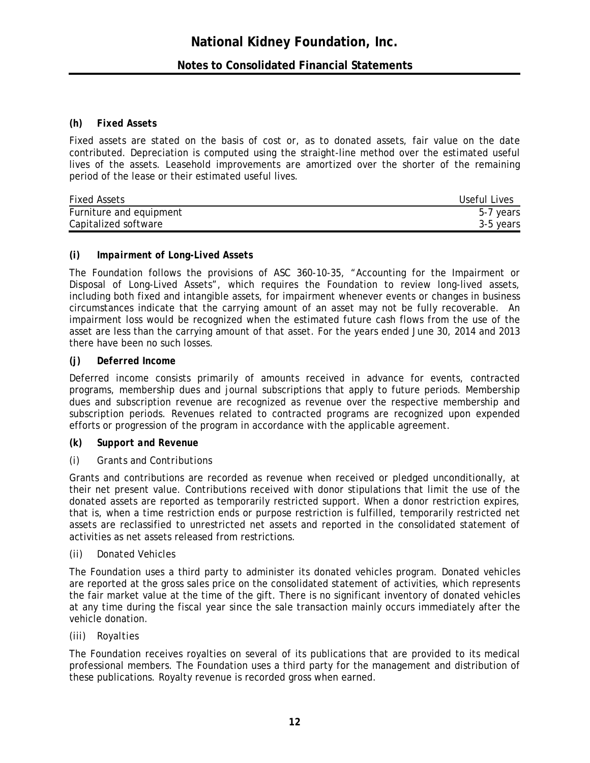# **Notes to Consolidated Financial Statements**

#### *(h) Fixed Assets*

Fixed assets are stated on the basis of cost or, as to donated assets, fair value on the date contributed. Depreciation is computed using the straight-line method over the estimated useful lives of the assets. Leasehold improvements are amortized over the shorter of the remaining period of the lease or their estimated useful lives.

| <b>Fixed Assets</b>     | Useful Lives |
|-------------------------|--------------|
| Furniture and equipment | 5-7 years    |
| Capitalized software    | 3-5 years    |

#### *(i) Impairment of Long-Lived Assets*

The Foundation follows the provisions of ASC 360-10-35, "Accounting for the Impairment or Disposal of Long-Lived Assets", which requires the Foundation to review long-lived assets, including both fixed and intangible assets, for impairment whenever events or changes in business circumstances indicate that the carrying amount of an asset may not be fully recoverable. An impairment loss would be recognized when the estimated future cash flows from the use of the asset are less than the carrying amount of that asset. For the years ended June 30, 2014 and 2013 there have been no such losses.

#### *(j) Deferred Income*

Deferred income consists primarily of amounts received in advance for events, contracted programs, membership dues and journal subscriptions that apply to future periods. Membership dues and subscription revenue are recognized as revenue over the respective membership and subscription periods. Revenues related to contracted programs are recognized upon expended efforts or progression of the program in accordance with the applicable agreement.

#### *(k) Support and Revenue*

#### *(i) Grants and Contributions*

Grants and contributions are recorded as revenue when received or pledged unconditionally, at their net present value. Contributions received with donor stipulations that limit the use of the donated assets are reported as temporarily restricted support. When a donor restriction expires, that is, when a time restriction ends or purpose restriction is fulfilled, temporarily restricted net assets are reclassified to unrestricted net assets and reported in the consolidated statement of activities as net assets released from restrictions.

#### *(ii) Donated Vehicles*

The Foundation uses a third party to administer its donated vehicles program. Donated vehicles are reported at the gross sales price on the consolidated statement of activities, which represents the fair market value at the time of the gift. There is no significant inventory of donated vehicles at any time during the fiscal year since the sale transaction mainly occurs immediately after the vehicle donation.

#### *(iii) Royalties*

The Foundation receives royalties on several of its publications that are provided to its medical professional members. The Foundation uses a third party for the management and distribution of these publications. Royalty revenue is recorded gross when earned.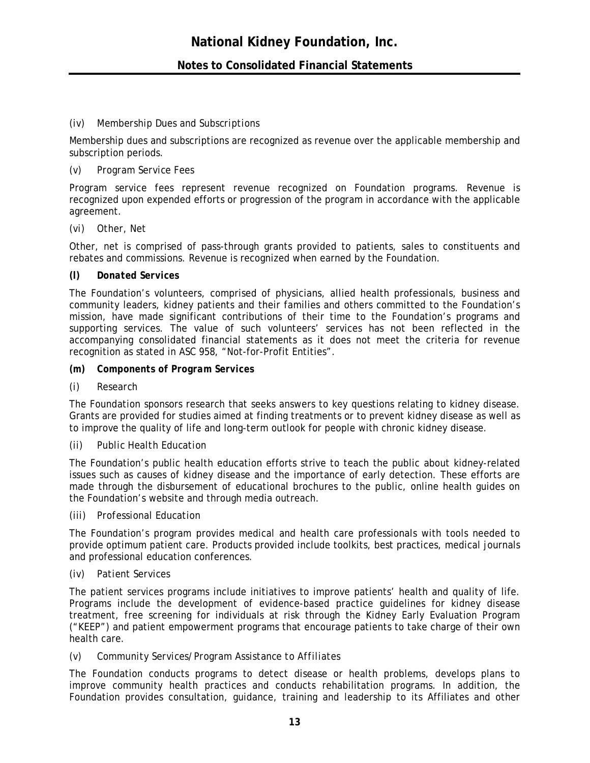### *(iv) Membership Dues and Subscriptions*

Membership dues and subscriptions are recognized as revenue over the applicable membership and subscription periods.

#### *(v) Program Service Fees*

Program service fees represent revenue recognized on Foundation programs. Revenue is recognized upon expended efforts or progression of the program in accordance with the applicable agreement.

#### *(vi) Other, Net*

Other, net is comprised of pass-through grants provided to patients, sales to constituents and rebates and commissions. Revenue is recognized when earned by the Foundation.

#### *(l) Donated Services*

The Foundation's volunteers, comprised of physicians, allied health professionals, business and community leaders, kidney patients and their families and others committed to the Foundation's mission, have made significant contributions of their time to the Foundation's programs and supporting services. The value of such volunteers' services has not been reflected in the accompanying consolidated financial statements as it does not meet the criteria for revenue recognition as stated in ASC 958, "Not-for-Profit Entities".

- *(m) Components of Program Services*
- *(i) Research*

The Foundation sponsors research that seeks answers to key questions relating to kidney disease. Grants are provided for studies aimed at finding treatments or to prevent kidney disease as well as to improve the quality of life and long-term outlook for people with chronic kidney disease.

#### *(ii) Public Health Education*

The Foundation's public health education efforts strive to teach the public about kidney-related issues such as causes of kidney disease and the importance of early detection. These efforts are made through the disbursement of educational brochures to the public, online health guides on the Foundation's website and through media outreach.

#### *(iii) Professional Education*

The Foundation's program provides medical and health care professionals with tools needed to provide optimum patient care. Products provided include toolkits, best practices, medical journals and professional education conferences.

#### *(iv) Patient Services*

The patient services programs include initiatives to improve patients' health and quality of life. Programs include the development of evidence-based practice guidelines for kidney disease treatment, free screening for individuals at risk through the Kidney Early Evaluation Program ("KEEP") and patient empowerment programs that encourage patients to take charge of their own health care.

#### *(v) Community Services/Program Assistance to Affiliates*

The Foundation conducts programs to detect disease or health problems, develops plans to improve community health practices and conducts rehabilitation programs. In addition, the Foundation provides consultation, guidance, training and leadership to its Affiliates and other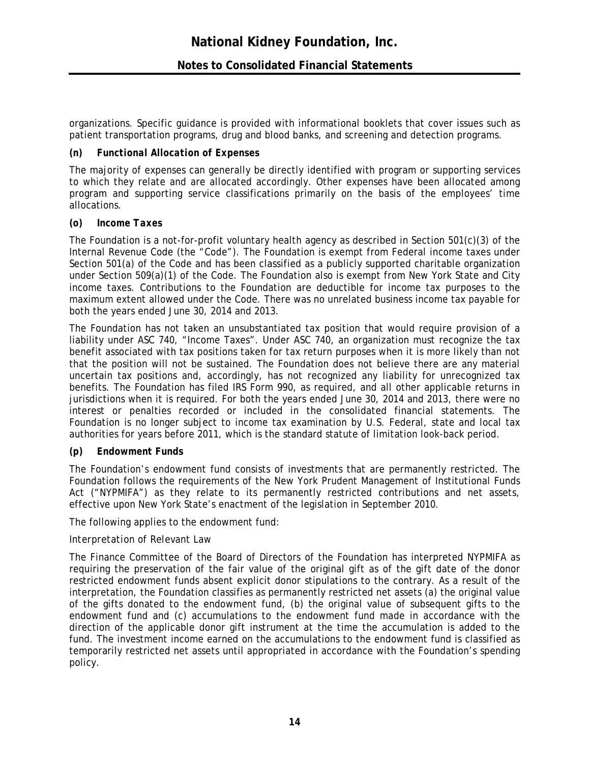# **Notes to Consolidated Financial Statements**

organizations. Specific guidance is provided with informational booklets that cover issues such as patient transportation programs, drug and blood banks, and screening and detection programs.

#### *(n) Functional Allocation of Expenses*

The majority of expenses can generally be directly identified with program or supporting services to which they relate and are allocated accordingly. Other expenses have been allocated among program and supporting service classifications primarily on the basis of the employees' time allocations.

#### *(o) Income Taxes*

The Foundation is a not-for-profit voluntary health agency as described in Section 501(c)(3) of the Internal Revenue Code (the "Code"). The Foundation is exempt from Federal income taxes under Section 501(a) of the Code and has been classified as a publicly supported charitable organization under Section 509(a)(1) of the Code. The Foundation also is exempt from New York State and City income taxes. Contributions to the Foundation are deductible for income tax purposes to the maximum extent allowed under the Code. There was no unrelated business income tax payable for both the years ended June 30, 2014 and 2013.

The Foundation has not taken an unsubstantiated tax position that would require provision of a liability under ASC 740, "Income Taxes". Under ASC 740, an organization must recognize the tax benefit associated with tax positions taken for tax return purposes when it is more likely than not that the position will not be sustained. The Foundation does not believe there are any material uncertain tax positions and, accordingly, has not recognized any liability for unrecognized tax benefits. The Foundation has filed IRS Form 990, as required, and all other applicable returns in jurisdictions when it is required. For both the years ended June 30, 2014 and 2013, there were no interest or penalties recorded or included in the consolidated financial statements. The Foundation is no longer subject to income tax examination by U.S. Federal, state and local tax authorities for years before 2011, which is the standard statute of limitation look-back period.

#### *(p) Endowment Funds*

The Foundation's endowment fund consists of investments that are permanently restricted. The Foundation follows the requirements of the New York Prudent Management of Institutional Funds Act ("NYPMIFA") as they relate to its permanently restricted contributions and net assets, effective upon New York State's enactment of the legislation in September 2010.

The following applies to the endowment fund:

#### *Interpretation of Relevant Law*

The Finance Committee of the Board of Directors of the Foundation has interpreted NYPMIFA as requiring the preservation of the fair value of the original gift as of the gift date of the donor restricted endowment funds absent explicit donor stipulations to the contrary. As a result of the interpretation, the Foundation classifies as permanently restricted net assets (a) the original value of the gifts donated to the endowment fund, (b) the original value of subsequent gifts to the endowment fund and (c) accumulations to the endowment fund made in accordance with the direction of the applicable donor gift instrument at the time the accumulation is added to the fund. The investment income earned on the accumulations to the endowment fund is classified as temporarily restricted net assets until appropriated in accordance with the Foundation's spending policy.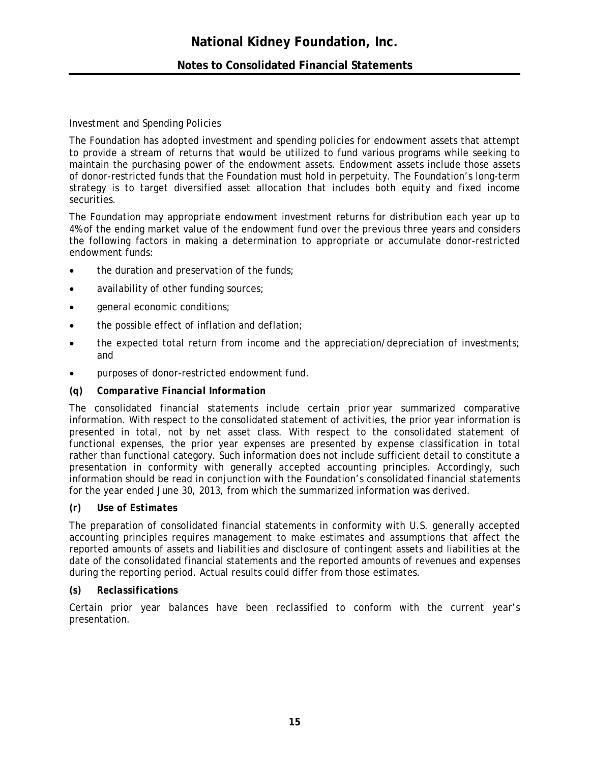# **Notes to Consolidated Financial Statements**

#### *Investment and Spending Policies*

The Foundation has adopted investment and spending policies for endowment assets that attempt to provide a stream of returns that would be utilized to fund various programs while seeking to maintain the purchasing power of the endowment assets. Endowment assets include those assets of donor-restricted funds that the Foundation must hold in perpetuity. The Foundation's long-term strategy is to target diversified asset allocation that includes both equity and fixed income securities.

The Foundation may appropriate endowment investment returns for distribution each year up to 4% of the ending market value of the endowment fund over the previous three years and considers the following factors in making a determination to appropriate or accumulate donor-restricted endowment funds:

- the duration and preservation of the funds;
- availability of other funding sources;
- **•** general economic conditions;
- the possible effect of inflation and deflation:
- the expected total return from income and the appreciation/depreciation of investments; and
- purposes of donor-restricted endowment fund.

#### *(q) Comparative Financial Information*

The consolidated financial statements include certain prior year summarized comparative information. With respect to the consolidated statement of activities, the prior year information is presented in total, not by net asset class. With respect to the consolidated statement of functional expenses, the prior year expenses are presented by expense classification in total rather than functional category. Such information does not include sufficient detail to constitute a presentation in conformity with generally accepted accounting principles. Accordingly, such information should be read in conjunction with the Foundation's consolidated financial statements for the year ended June 30, 2013, from which the summarized information was derived.

#### *(r) Use of Estimates*

The preparation of consolidated financial statements in conformity with U.S. generally accepted accounting principles requires management to make estimates and assumptions that affect the reported amounts of assets and liabilities and disclosure of contingent assets and liabilities at the date of the consolidated financial statements and the reported amounts of revenues and expenses during the reporting period. Actual results could differ from those estimates.

#### *(s) Reclassifications*

Certain prior year balances have been reclassified to conform with the current year's presentation.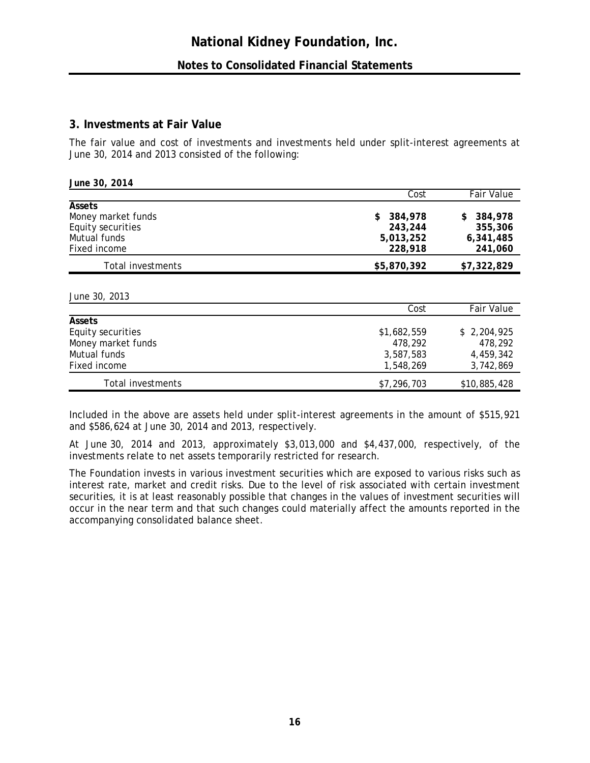### **3. Investments at Fair Value**

The fair value and cost of investments and investments held under split-interest agreements at June 30, 2014 and 2013 consisted of the following:

| June 30, 2014      |               |                   |
|--------------------|---------------|-------------------|
|                    | Cost          | <b>Fair Value</b> |
| Assets             |               |                   |
| Money market funds | 384,978<br>S. | 384,978<br>S.     |
| Equity securities  | 243,244       | 355,306           |
| Mutual funds       | 5,013,252     | 6,341,485         |
| Fixed income       | 228,918       | 241,060           |
| Total investments  | \$5,870,392   | \$7,322,829       |
|                    |               |                   |

*June 30, 2013* 

|                    | Cost        | <b>Fair Value</b> |
|--------------------|-------------|-------------------|
| <b>Assets</b>      |             |                   |
| Equity securities  | \$1,682,559 | \$2,204,925       |
| Money market funds | 478.292     | 478.292           |
| Mutual funds       | 3,587,583   | 4,459,342         |
| Fixed income       | 1,548,269   | 3,742,869         |
| Total investments  | \$7,296,703 | \$10,885,428      |

Included in the above are assets held under split-interest agreements in the amount of \$515,921 and \$586,624 at June 30, 2014 and 2013, respectively.

At June 30, 2014 and 2013, approximately \$3,013,000 and \$4,437,000, respectively, of the investments relate to net assets temporarily restricted for research.

The Foundation invests in various investment securities which are exposed to various risks such as interest rate, market and credit risks. Due to the level of risk associated with certain investment securities, it is at least reasonably possible that changes in the values of investment securities will occur in the near term and that such changes could materially affect the amounts reported in the accompanying consolidated balance sheet.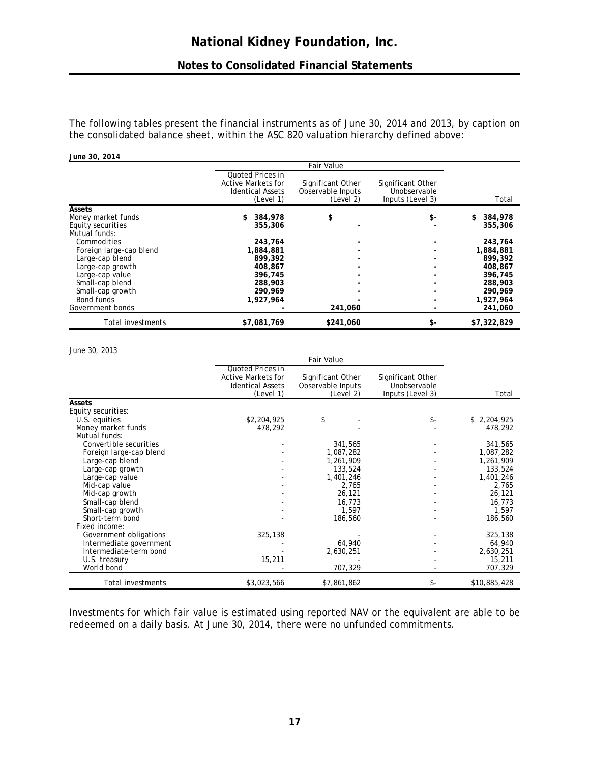# **Notes to Consolidated Financial Statements**

The following tables present the financial instruments as of June 30, 2014 and 2013, by caption on the consolidated balance sheet, within the ASC 820 valuation hierarchy defined above:

#### *June 30, 2014*

|                         |                                                                                       | <b>Fair Value</b>                                   |                                                       |               |
|-------------------------|---------------------------------------------------------------------------------------|-----------------------------------------------------|-------------------------------------------------------|---------------|
|                         | Quoted Prices in<br><b>Active Markets for</b><br><b>Identical Assets</b><br>(Level 1) | Significant Other<br>Observable Inputs<br>(Level 2) | Significant Other<br>Unobservable<br>Inputs (Level 3) | Total         |
| Assets                  |                                                                                       |                                                     |                                                       |               |
| Money market funds      | 384,978                                                                               | \$                                                  | \$-                                                   | 384,978<br>\$ |
| Equity securities       | 355,306                                                                               |                                                     |                                                       | 355,306       |
| Mutual funds:           |                                                                                       |                                                     |                                                       |               |
| Commodities             | 243,764                                                                               |                                                     |                                                       | 243,764       |
| Foreign large-cap blend | 1,884,881                                                                             |                                                     |                                                       | 1,884,881     |
| Large-cap blend         | 899,392                                                                               |                                                     |                                                       | 899,392       |
| Large-cap growth        | 408.867                                                                               |                                                     |                                                       | 408,867       |
| Large-cap value         | 396,745                                                                               |                                                     |                                                       | 396,745       |
| Small-cap blend         | 288,903                                                                               |                                                     |                                                       | 288,903       |
| Small-cap growth        | 290.969                                                                               |                                                     |                                                       | 290.969       |
| Bond funds              | 1,927,964                                                                             |                                                     |                                                       | 1,927,964     |
| Government bonds        |                                                                                       | 241,060                                             |                                                       | 241,060       |
| Total investments       | \$7,081,769                                                                           | \$241,060                                           | \$-                                                   | \$7,322,829   |

#### *June 30, 2013*

|                         | Quoted Prices in<br><b>Active Markets for</b><br><b>Identical Assets</b><br>(Level 1) | Significant Other<br>Observable Inputs<br>(Level 2) | Significant Other<br>Unobservable<br>Inputs (Level 3) | Total        |
|-------------------------|---------------------------------------------------------------------------------------|-----------------------------------------------------|-------------------------------------------------------|--------------|
| Assets                  |                                                                                       |                                                     |                                                       |              |
| Equity securities:      |                                                                                       |                                                     |                                                       |              |
| U.S. equities           | \$2,204,925                                                                           | \$                                                  | \$-                                                   | \$2,204,925  |
| Money market funds      | 478,292                                                                               |                                                     |                                                       | 478,292      |
| Mutual funds:           |                                                                                       |                                                     |                                                       |              |
| Convertible securities  |                                                                                       | 341,565                                             |                                                       | 341,565      |
| Foreign large-cap blend |                                                                                       | 1,087,282                                           |                                                       | 1,087,282    |
| Large-cap blend         |                                                                                       | 1,261,909                                           |                                                       | 1,261,909    |
| Large-cap growth        |                                                                                       | 133,524                                             |                                                       | 133,524      |
| Large-cap value         |                                                                                       | 1,401,246                                           |                                                       | 1,401,246    |
| Mid-cap value           |                                                                                       | 2,765                                               |                                                       | 2,765        |
| Mid-cap growth          |                                                                                       | 26,121                                              |                                                       | 26,121       |
| Small-cap blend         |                                                                                       | 16,773                                              |                                                       | 16,773       |
| Small-cap growth        |                                                                                       | 1,597                                               |                                                       | 1,597        |
| Short-term bond         |                                                                                       | 186,560                                             |                                                       | 186,560      |
| Fixed income:           |                                                                                       |                                                     |                                                       |              |
| Government obligations  | 325,138                                                                               |                                                     |                                                       | 325,138      |
| Intermediate government |                                                                                       | 64,940                                              |                                                       | 64,940       |
| Intermediate-term bond  |                                                                                       | 2,630,251                                           |                                                       | 2,630,251    |
| U.S. treasury           | 15,211                                                                                |                                                     |                                                       | 15,211       |
| World bond              |                                                                                       | 707,329                                             |                                                       | 707,329      |
| Total investments       | \$3,023,566                                                                           | \$7,861,862                                         | \$-                                                   | \$10,885,428 |

Investments for which fair value is estimated using reported NAV or the equivalent are able to be redeemed on a daily basis. At June 30, 2014, there were no unfunded commitments.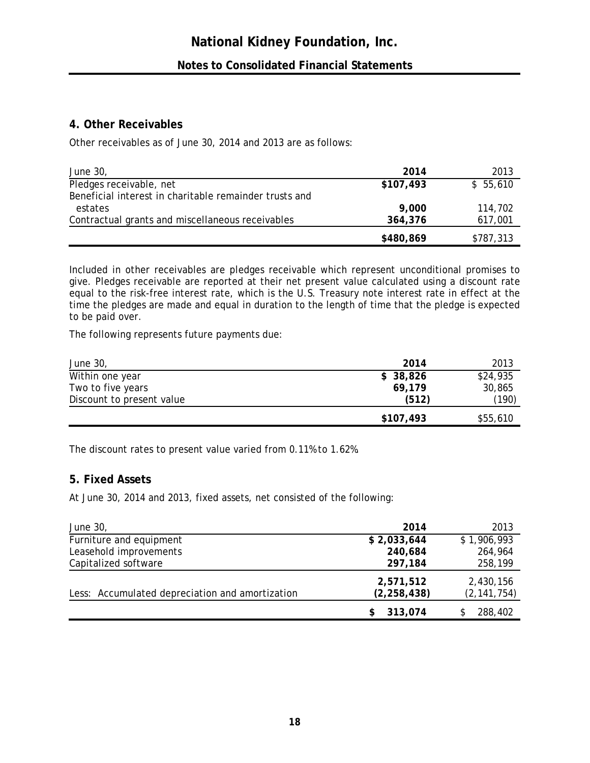# **4. Other Receivables**

Other receivables as of June 30, 2014 and 2013 are as follows:

| June 30,                                               | 2014      | 2013      |
|--------------------------------------------------------|-----------|-----------|
| Pledges receivable, net                                | \$107,493 | \$55,610  |
| Beneficial interest in charitable remainder trusts and |           |           |
| estates                                                | 9,000     | 114,702   |
| Contractual grants and miscellaneous receivables       | 364,376   | 617,001   |
|                                                        | \$480,869 | \$787,313 |

Included in other receivables are pledges receivable which represent unconditional promises to give. Pledges receivable are reported at their net present value calculated using a discount rate equal to the risk-free interest rate, which is the U.S. Treasury note interest rate in effect at the time the pledges are made and equal in duration to the length of time that the pledge is expected to be paid over.

The following represents future payments due:

| June 30,                  | 2014      | 2013     |
|---------------------------|-----------|----------|
| Within one year           | \$38,826  | \$24,935 |
| Two to five years         | 69,179    | 30,865   |
| Discount to present value | (512)     | (190)    |
|                           | \$107,493 | \$55,610 |

The discount rates to present value varied from 0.11% to 1.62%.

# **5. Fixed Assets**

At June 30, 2014 and 2013, fixed assets, net consisted of the following:

| June 30,                                        | 2014          | 2013          |
|-------------------------------------------------|---------------|---------------|
| Furniture and equipment                         | \$2,033,644   | \$1,906,993   |
| Leasehold improvements                          | 240,684       | 264,964       |
| Capitalized software                            | 297,184       | 258,199       |
|                                                 | 2,571,512     | 2,430,156     |
| Less: Accumulated depreciation and amortization | (2, 258, 438) | (2, 141, 754) |
|                                                 | 313,074       | 288,402       |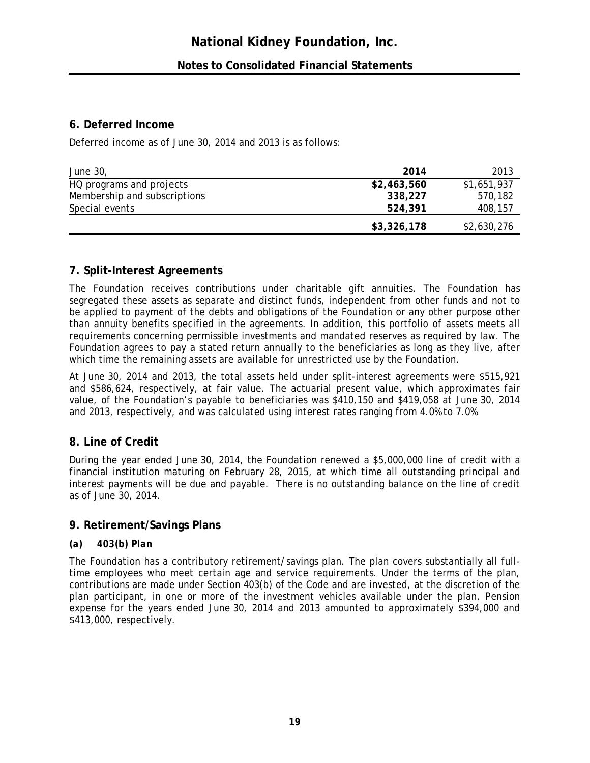# **6. Deferred Income**

Deferred income as of June 30, 2014 and 2013 is as follows:

| June 30,                     | 2014        | 2013        |
|------------------------------|-------------|-------------|
| HQ programs and projects     | \$2,463,560 | \$1,651,937 |
| Membership and subscriptions | 338,227     | 570.182     |
| Special events               | 524,391     | 408,157     |
|                              | \$3,326,178 | \$2,630,276 |

# **7. Split-Interest Agreements**

The Foundation receives contributions under charitable gift annuities. The Foundation has segregated these assets as separate and distinct funds, independent from other funds and not to be applied to payment of the debts and obligations of the Foundation or any other purpose other than annuity benefits specified in the agreements. In addition, this portfolio of assets meets all requirements concerning permissible investments and mandated reserves as required by law. The Foundation agrees to pay a stated return annually to the beneficiaries as long as they live, after which time the remaining assets are available for unrestricted use by the Foundation.

At June 30, 2014 and 2013, the total assets held under split-interest agreements were \$515,921 and \$586,624, respectively, at fair value. The actuarial present value, which approximates fair value, of the Foundation's payable to beneficiaries was \$410,150 and \$419,058 at June 30, 2014 and 2013, respectively, and was calculated using interest rates ranging from 4.0% to 7.0%.

# **8. Line of Credit**

During the year ended June 30, 2014, the Foundation renewed a \$5,000,000 line of credit with a financial institution maturing on February 28, 2015, at which time all outstanding principal and interest payments will be due and payable. There is no outstanding balance on the line of credit as of June 30, 2014.

# **9. Retirement/Savings Plans**

# *(a) 403(b) Plan*

The Foundation has a contributory retirement/savings plan. The plan covers substantially all fulltime employees who meet certain age and service requirements. Under the terms of the plan, contributions are made under Section 403(b) of the Code and are invested, at the discretion of the plan participant, in one or more of the investment vehicles available under the plan. Pension expense for the years ended June 30, 2014 and 2013 amounted to approximately \$394,000 and \$413,000, respectively.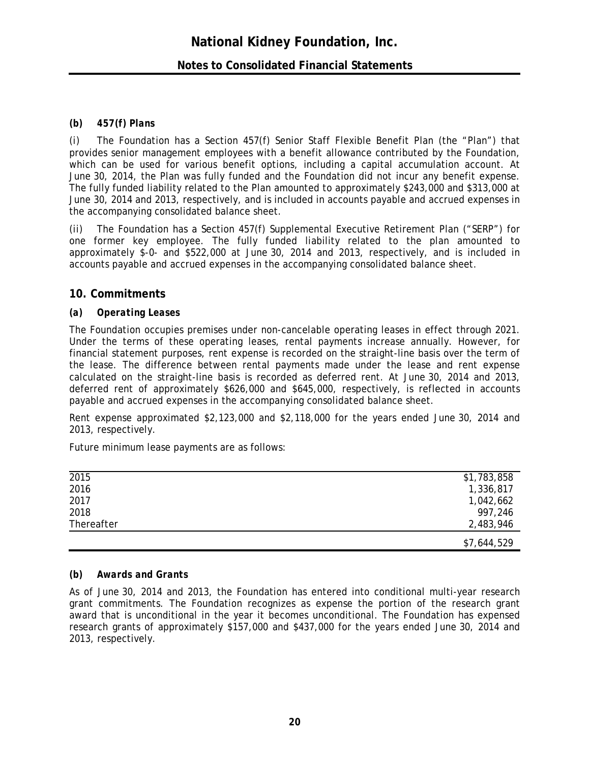### **Notes to Consolidated Financial Statements**

#### *(b) 457(f) Plans*

*(i)* The Foundation has a Section 457(f) Senior Staff Flexible Benefit Plan (the "Plan") that provides senior management employees with a benefit allowance contributed by the Foundation, which can be used for various benefit options, including a capital accumulation account. At June 30, 2014, the Plan was fully funded and the Foundation did not incur any benefit expense. The fully funded liability related to the Plan amounted to approximately \$243,000 and \$313,000 at June 30, 2014 and 2013, respectively, and is included in accounts payable and accrued expenses in the accompanying consolidated balance sheet.

*(ii)* The Foundation has a Section 457(f) Supplemental Executive Retirement Plan ("SERP") for one former key employee. The fully funded liability related to the plan amounted to approximately \$-0- and \$522,000 at June 30, 2014 and 2013, respectively, and is included in accounts payable and accrued expenses in the accompanying consolidated balance sheet.

#### **10. Commitments**

#### *(a) Operating Leases*

The Foundation occupies premises under non-cancelable operating leases in effect through 2021. Under the terms of these operating leases, rental payments increase annually. However, for financial statement purposes, rent expense is recorded on the straight-line basis over the term of the lease. The difference between rental payments made under the lease and rent expense calculated on the straight-line basis is recorded as deferred rent. At June 30, 2014 and 2013, deferred rent of approximately \$626,000 and \$645,000, respectively, is reflected in accounts payable and accrued expenses in the accompanying consolidated balance sheet.

Rent expense approximated \$2,123,000 and \$2,118,000 for the years ended June 30, 2014 and 2013, respectively.

Future minimum lease payments are as follows:

| $\overline{2015}$ | \$1,783,858 |
|-------------------|-------------|
| 2016              | 1,336,817   |
| 2017              | 1,042,662   |
| 2018              | 997,246     |
| Thereafter        | 2,483,946   |
|                   | \$7,644,529 |

#### *(b) Awards and Grants*

As of June 30, 2014 and 2013, the Foundation has entered into conditional multi-year research grant commitments. The Foundation recognizes as expense the portion of the research grant award that is unconditional in the year it becomes unconditional. The Foundation has expensed research grants of approximately \$157,000 and \$437,000 for the years ended June 30, 2014 and 2013, respectively.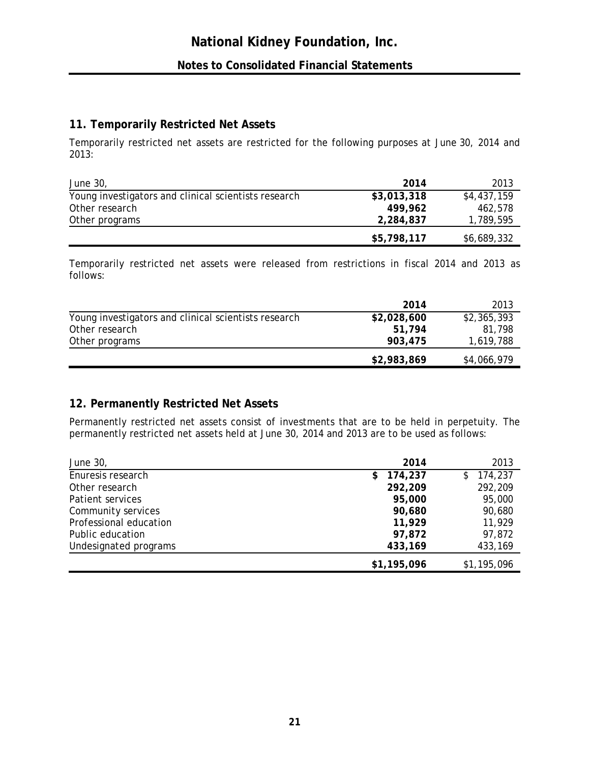# **11. Temporarily Restricted Net Assets**

Temporarily restricted net assets are restricted for the following purposes at June 30, 2014 and 2013:

| <i>June 30,</i>                                      | 2014        | 2013        |
|------------------------------------------------------|-------------|-------------|
| Young investigators and clinical scientists research | \$3,013,318 | \$4,437,159 |
| Other research                                       | 499.962     | 462.578     |
| Other programs                                       | 2,284,837   | 1,789,595   |
|                                                      | \$5,798,117 | \$6,689,332 |

Temporarily restricted net assets were released from restrictions in fiscal 2014 and 2013 as follows:

|                                                      | 2014        | 2013        |
|------------------------------------------------------|-------------|-------------|
| Young investigators and clinical scientists research | \$2,028,600 | \$2,365,393 |
| Other research                                       | 51.794      | 81.798      |
| Other programs                                       | 903,475     | 1,619,788   |
|                                                      | \$2,983,869 | \$4,066,979 |

# **12. Permanently Restricted Net Assets**

Permanently restricted net assets consist of investments that are to be held in perpetuity. The permanently restricted net assets held at June 30, 2014 and 2013 are to be used as follows:

| June 30,               | 2014          | 2013        |
|------------------------|---------------|-------------|
| Enuresis research      | 174,237<br>\$ | \$174,237   |
| Other research         | 292,209       | 292,209     |
| Patient services       | 95,000        | 95,000      |
| Community services     | 90,680        | 90,680      |
| Professional education | 11,929        | 11,929      |
| Public education       | 97,872        | 97,872      |
| Undesignated programs  | 433,169       | 433,169     |
|                        | \$1,195,096   | \$1,195,096 |